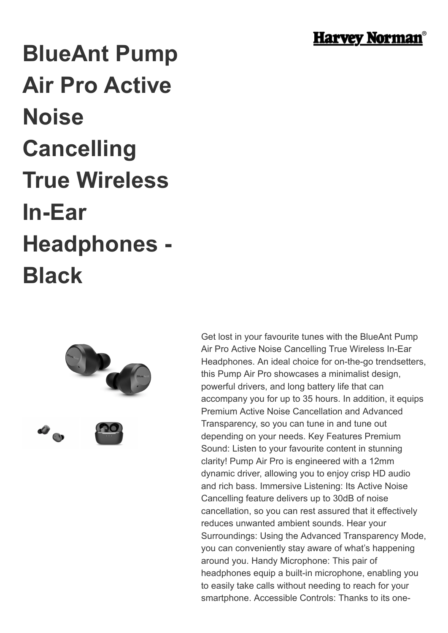

## **BlueAnt Pump Air Pro Active Noise Cancelling True Wireless In-Ear Headphones - Black**



Get lost in your favourite tunes with the BlueAnt Pump Air Pro Active Noise Cancelling True Wireless In-Ear Headphones. An ideal choice for on-the-go trendsetters, this Pump Air Pro showcases a minimalist design, powerful drivers, and long battery life that can accompany you for up to 35 hours. In addition, it equips Premium Active Noise Cancellation and Advanced Transparency, so you can tune in and tune out depending on your needs. Key Features Premium Sound: Listen to your favourite content in stunning clarity! Pump Air Pro is engineered with a 12mm dynamic driver, allowing you to enjoy crisp HD audio and rich bass. Immersive Listening: Its Active Noise Cancelling feature delivers up to 30dB of noise cancellation, so you can rest assured that it effectively reduces unwanted ambient sounds. Hear your Surroundings: Using the Advanced Transparency Mode, you can conveniently stay aware of what's happening around you. Handy Microphone: This pair of headphones equip a built-in microphone, enabling you to easily take calls without needing to reach for your smartphone. Accessible Controls: Thanks to its one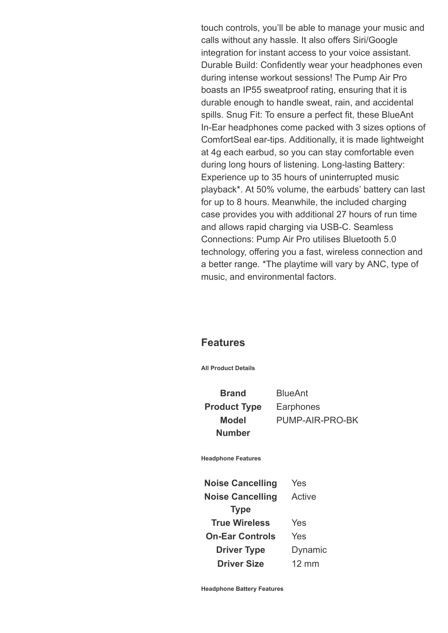touch controls, you'll be able to manage your music and calls without any hassle. It also offers Siri/Google integration for instant access to your voice assistant. Durable Build: Confidently wear your headphones even during intense workout sessions! The Pump Air Pro boasts an IP55 sweatproof rating, ensuring that it is durable enough to handle sweat, rain, and accidental spills. Snug Fit: To ensure a perfect fit, these BlueAnt In-Ear headphones come packed with 3 sizes options of ComfortSeal ear-tips. Additionally, it is made lightweight at 4g each earbud, so you can stay comfortable even during long hours of listening. Long-lasting Battery: Experience up to 35 hours of uninterrupted music playback\*. At 50% volume, the earbuds' battery can last for up to 8 hours. Meanwhile, the included charging case provides you with additional 27 hours of run time and allows rapid charging via USB-C. Seamless Connections: Pump Air Pro utilises Bluetooth 5.0 technology, offering you a fast, wireless connection and a better range. \*The playtime will vary by ANC, type of music, and environmental factors.

## **Features**

**All Product Details**

**Brand** BlueAnt **Product Type** Earphones **Model Number**

PUMP-AIR-PRO-BK

**Headphone Features**

**Noise Cancelling** Yes **Noise Cancelling Type** Active **True Wireless** Yes **On-Ear Controls** Yes **Driver Type** Dynamic **Driver Size** 12 mm

**Headphone Battery Features**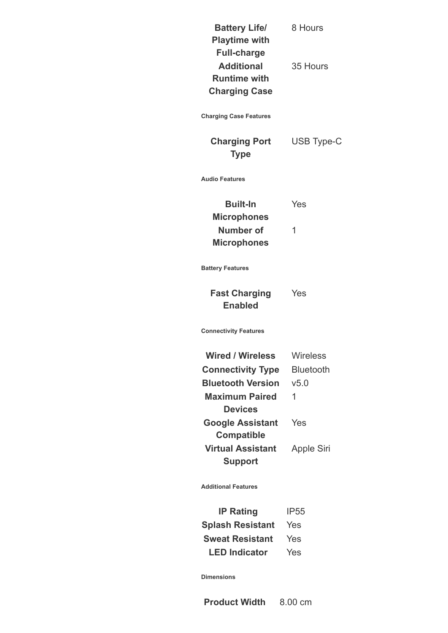**Battery Life/ Playtime with Full-charge** 8 Hours **Additional Runtime with Charging Case** 35 Hours

**Charging Case Features**

**Charging Port Type**

USB Type-C

**Audio Features**

| <b>Built-In</b>    | Yes |
|--------------------|-----|
| <b>Microphones</b> |     |
| Number of          | 1   |
| <b>Microphones</b> |     |

**Battery Features**

**Fast Charging Enabled** Yes

**Connectivity Features**

| <b>Wired / Wireless</b>  | <b>Wireless</b>  |
|--------------------------|------------------|
| <b>Connectivity Type</b> | <b>Bluetooth</b> |
| <b>Bluetooth Version</b> | v5.0             |
| <b>Maximum Paired</b>    | 1                |
| <b>Devices</b>           |                  |
| <b>Google Assistant</b>  | Yes              |
| <b>Compatible</b>        |                  |
| <b>Virtual Assistant</b> | Apple Siri       |
| <b>Support</b>           |                  |

**Additional Features**

**IP Rating** IP55 **Splash Resistant** Yes **Sweat Resistant** Yes **LED Indicator** Yes

**Dimensions**

**Product Width** 8.00 cm